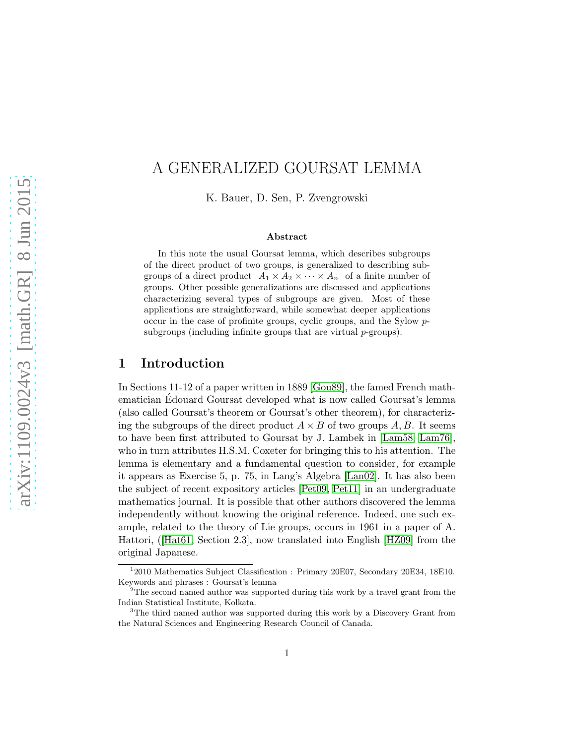# A GENERALIZED GOURSAT LEMMA

K. Bauer, D. Sen, P. Zvengrowski

#### Abstract

In this note the usual Goursat lemma, which describes subgroups of the direct product of two groups, is generalized to describing subgroups of a direct product  $A_1 \times A_2 \times \cdots \times A_n$  of a finite number of groups. Other possible generalizations are discussed and applications characterizing several types of subgroups are given. Most of these applications are straightforward, while somewhat deeper applications occur in the case of profinite groups, cyclic groups, and the Sylow psubgroups (including infinite groups that are virtual  $p$ -groups).

## 1 Introduction

In Sections 11-12 of a paper written in 1889 [\[Gou89\]](#page-19-0), the famed French mathematician Edouard Goursat developed what is now called Goursat's lemma (also called Goursat's theorem or Goursat's other theorem), for characterizing the subgroups of the direct product  $A \times B$  of two groups A, B. It seems to have been first attributed to Goursat by J. Lambek in [\[Lam58,](#page-20-0) [Lam76\]](#page-20-1), who in turn attributes H.S.M. Coxeter for bringing this to his attention. The lemma is elementary and a fundamental question to consider, for example it appears as Exercise 5, p. 75, in Lang's Algebra [\[Lan02\]](#page-20-2). It has also been the subject of recent expository articles [\[Pet09,](#page-20-3) [Pet11\]](#page-20-4) in an undergraduate mathematics journal. It is possible that other authors discovered the lemma independently without knowing the original reference. Indeed, one such example, related to the theory of Lie groups, occurs in 1961 in a paper of A. Hattori,([\[Hat61,](#page-19-1) Section 2.3], now translated into English [\[HZ09\]](#page-19-2) from the original Japanese.

<sup>&</sup>lt;sup>1</sup>2010 Mathematics Subject Classification : Primary 20E07, Secondary 20E34, 18E10. Keywords and phrases : Goursat's lemma

 $2^2$ The second named author was supported during this work by a travel grant from the Indian Statistical Institute, Kolkata.

<sup>&</sup>lt;sup>3</sup>The third named author was supported during this work by a Discovery Grant from the Natural Sciences and Engineering Research Council of Canada.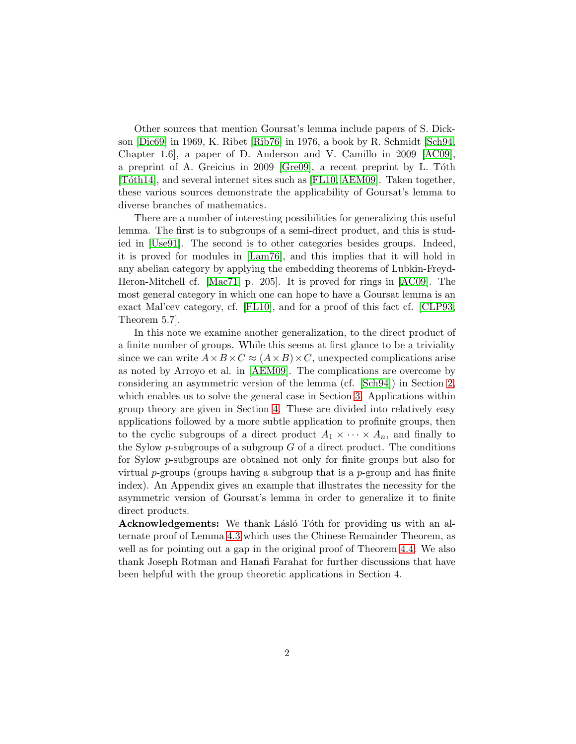Other sources that mention Goursat's lemma include papers of S. Dickson [\[Dic69\]](#page-19-3) in 1969, K. Ribet [\[Rib76\]](#page-20-5) in 1976, a book by R. Schmidt [\[Sch94,](#page-20-6) Chapter 1.6], a paper of D. Anderson and V. Camillo in 2009 [\[AC09\]](#page-18-0), a preprint of A. Greicius in 2009 [\[Gre09\]](#page-19-4), a recent preprint by L. Tóth [Tóth14], and several internet sites such as [\[FL10,](#page-19-5) [AEM09\]](#page-19-6). Taken together, these various sources demonstrate the applicability of Goursat's lemma to diverse branches of mathematics.

There are a number of interesting possibilities for generalizing this useful lemma. The first is to subgroups of a semi-direct product, and this is studied in [\[Use91\]](#page-21-0). The second is to other categories besides groups. Indeed, it is proved for modules in [\[Lam76\]](#page-20-1), and this implies that it will hold in any abelian category by applying the embedding theorems of Lubkin-Freyd-Heron-Mitchell cf. [\[Mac71,](#page-20-8) p. 205]. It is proved for rings in [\[AC09\]](#page-18-0). The most general category in which one can hope to have a Goursat lemma is an exact Mal'cev category, cf. [\[FL10\]](#page-19-5), and for a proof of this fact cf. [\[CLP93,](#page-19-7) Theorem 5.7].

In this note we examine another generalization, to the direct product of a finite number of groups. While this seems at first glance to be a triviality since we can write  $A \times B \times C \approx (A \times B) \times C$ , unexpected complications arise as noted by Arroyo et al. in [\[AEM09\]](#page-19-6). The complications are overcome by considering an asymmetric version of the lemma (cf. [\[Sch94\]](#page-20-6)) in Section [2,](#page-2-0) which enables us to solve the general case in Section [3.](#page-4-0) Applications within group theory are given in Section [4.](#page-6-0) These are divided into relatively easy applications followed by a more subtle application to profinite groups, then to the cyclic subgroups of a direct product  $A_1 \times \cdots \times A_n$ , and finally to the Sylow p-subgroups of a subgroup  $G$  of a direct product. The conditions for Sylow p-subgroups are obtained not only for finite groups but also for virtual p-groups (groups having a subgroup that is a p-group and has finite index). An Appendix gives an example that illustrates the necessity for the asymmetric version of Goursat's lemma in order to generalize it to finite direct products.

**Acknowledgements:** We thank Lásló Tóth for providing us with an alternate proof of Lemma [4.3](#page-8-0) which uses the Chinese Remainder Theorem, as well as for pointing out a gap in the original proof of Theorem [4.4.](#page-9-0) We also thank Joseph Rotman and Hanafi Farahat for further discussions that have been helpful with the group theoretic applications in Section 4.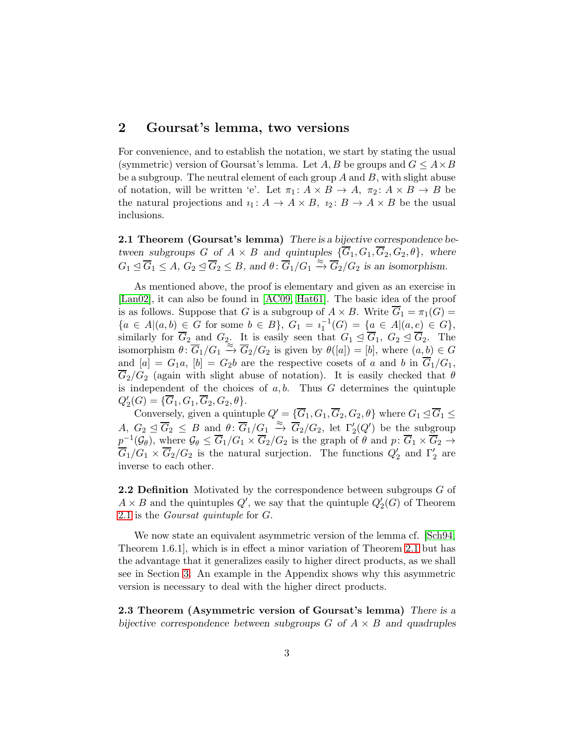### <span id="page-2-0"></span>2 Goursat's lemma, two versions

For convenience, and to establish the notation, we start by stating the usual (symmetric) version of Goursat's lemma. Let A, B be groups and  $G \leq A \times B$ be a subgroup. The neutral element of each group  $A$  and  $B$ , with slight abuse of notation, will be written 'e'. Let  $\pi_1: A \times B \to A$ ,  $\pi_2: A \times B \to B$  be the natural projections and  $i_1: A \to A \times B$ ,  $i_2: B \to A \times B$  be the usual inclusions.

<span id="page-2-1"></span>2.1 Theorem (Goursat's lemma) There is a bijective correspondence between subgroups G of  $A \times B$  and quintuples  $\{\overline{G}_1, G_1, \overline{G}_2, G_2, \theta\}$ , where  $G_1 \trianglelefteq \overline{G}_1 \leq A, G_2 \trianglelefteq \overline{G}_2 \leq B$ , and  $\theta \colon \overline{G}_1/G_1 \xrightarrow{\approx} \overline{G}_2/G_2$  is an isomorphism.

As mentioned above, the proof is elementary and given as an exercise in [\[Lan02\]](#page-20-2), it can also be found in [\[AC09,](#page-18-0) [Hat61\]](#page-19-1). The basic idea of the proof is as follows. Suppose that G is a subgroup of  $A \times B$ . Write  $\overline{G}_1 = \pi_1(G)$  ${a \in A | (a, b) \in G \text{ for some } b \in B}, G_1 = i_1^{-1}(G) = {a \in A | (a, e) \in G},$ similarly for  $\overline{G}_2$  and  $G_2$ . It is easily seen that  $G_1 \trianglelefteq \overline{G}_1$ ,  $G_2 \trianglelefteq \overline{G}_2$ . The isomorphism  $\theta: \overline{G}_1/G_1 \stackrel{\approx}{\to} \overline{G}_2/G_2$  is given by  $\theta([a]) = [b]$ , where  $(a, b) \in G$ and  $[a] = G_1a$ ,  $[b] = G_2b$  are the respective cosets of a and b in  $\overline{G}_1/G_1$ ,  $\overline{G}_2/G_2$  (again with slight abuse of notation). It is easily checked that  $\theta$ is independent of the choices of  $a, b$ . Thus  $G$  determines the quintuple  $Q'_2(G) = {\overline{G}_1, G_1, \overline{G}_2, G_2, \theta}.$ 

Conversely, given a quintuple  $Q' = \{ \overline{G}_1, G_1, \overline{G}_2, G_2, \theta \}$  where  $G_1 \leq \overline{G}_1 \leq$ A,  $G_2 \trianglelefteq \overline{G}_2 \leq B$  and  $\theta: \overline{G}_1/G_1 \stackrel{\approx}{\to} \overline{G}_2/G_2$ , let  $\Gamma'_2(Q')$  be the subgroup  $p^{-1}(\mathcal{G}_{\theta})$ , where  $\mathcal{G}_{\theta} \leq \overline{G}_1/G_1 \times \overline{G}_2/G_2$  is the graph of  $\theta$  and  $p: \overline{G}_1 \times \overline{G}_2 \to$  $\overline{G}_1/G_1 \times \overline{G}_2/G_2$  is the natural surjection. The functions  $Q'_2$  and  $\Gamma'_2$  are inverse to each other.

<span id="page-2-3"></span>**2.2 Definition** Motivated by the correspondence between subgroups G of  $A \times B$  and the quintuples  $Q'$ , we say that the quintuple  $Q'_{2}(G)$  of Theorem [2.1](#page-2-1) is the Goursat quintuple for G.

We now state an equivalent asymmetric version of the lemma cf. [\[Sch94,](#page-20-6) Theorem 1.6.1], which is in effect a minor variation of Theorem [2.1](#page-2-1) but has the advantage that it generalizes easily to higher direct products, as we shall see in Section [3.](#page-4-0) An example in the Appendix shows why this asymmetric version is necessary to deal with the higher direct products.

<span id="page-2-2"></span>2.3 Theorem (Asymmetric version of Goursat's lemma) There is a bijective correspondence between subgroups  $G$  of  $A \times B$  and quadruples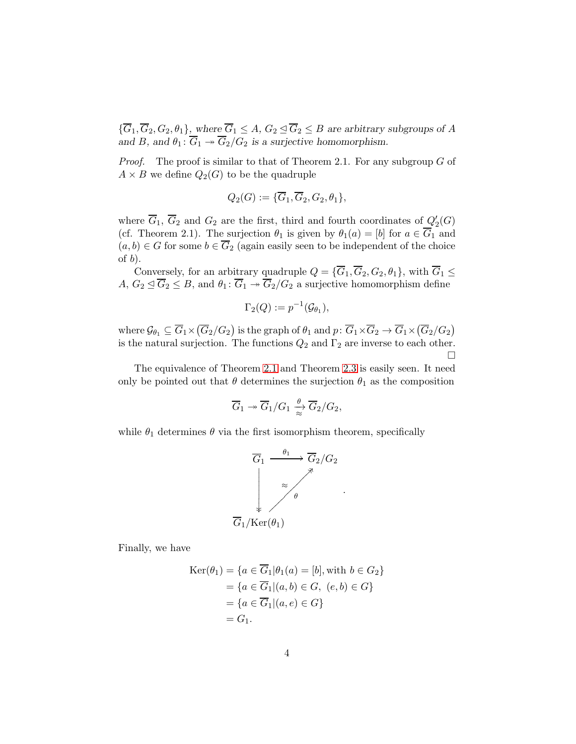${\overline{G}}_1, {\overline{G}}_2, G_2, \theta_1$ , where  ${\overline{G}}_1 \leq A, G_2 \leq {\overline{G}}_2 \leq B$  are arbitrary subgroups of A and B, and  $\theta_1: \overline{G}_1 \rightarrow \overline{G}_2/G_2$  is a surjective homomorphism.

*Proof.* The proof is similar to that of Theorem 2.1. For any subgroup  $G$  of  $A \times B$  we define  $Q_2(G)$  to be the quadruple

$$
Q_2(G):=\{\overline{G}_1,\overline{G}_2,G_2,\theta_1\},
$$

where  $\overline{G}_1$ ,  $\overline{G}_2$  and  $G_2$  are the first, third and fourth coordinates of  $Q'_2(G)$ (cf. Theorem 2.1). The surjection  $\theta_1$  is given by  $\theta_1(a) = [b]$  for  $a \in G_1$  and  $(a, b) \in G$  for some  $b \in \overline{G}_2$  (again easily seen to be independent of the choice of  $b$ ).

Conversely, for an arbitrary quadruple  $Q = {\overline{G_1, G_2, G_2, \theta_1}}$ , with  $\overline{G_1} \leq$  $A, G_2 \subseteq \overline{G}_2 \leq B$ , and  $\theta_1: \overline{G}_1 \twoheadrightarrow \overline{G}_2/G_2$  a surjective homomorphism define

$$
\Gamma_2(Q) := p^{-1}(\mathcal{G}_{\theta_1}),
$$

where  $\mathcal{G}_{\theta_1} \subseteq \overline{G}_1 \times (\overline{G}_2/G_2)$  is the graph of  $\theta_1$  and  $p \colon \overline{G}_1 \times \overline{G}_2 \to \overline{G}_1 \times (\overline{G}_2/G_2)$ is the natural surjection. The functions  $Q_2$  and  $\Gamma_2$  are inverse to each other.  $\Box$ 

The equivalence of Theorem [2.1](#page-2-1) and Theorem [2.3](#page-2-2) is easily seen. It need only be pointed out that  $\theta$  determines the surjection  $\theta_1$  as the composition

$$
\overline{G}_1 \twoheadrightarrow \overline{G}_1/G_1 \xrightarrow[\approx]{\theta} \overline{G}_2/G_2,
$$

while  $\theta_1$  determines  $\theta$  via the first isomorphism theorem, specifically



Finally, we have

$$
\begin{aligned} \text{Ker}(\theta_1) &= \{ a \in \overline{G}_1 | \theta_1(a) = [b], \text{with } b \in G_2 \} \\ &= \{ a \in \overline{G}_1 | (a, b) \in G, \ (e, b) \in G \} \\ &= \{ a \in \overline{G}_1 | (a, e) \in G \} \\ &= G_1. \end{aligned}
$$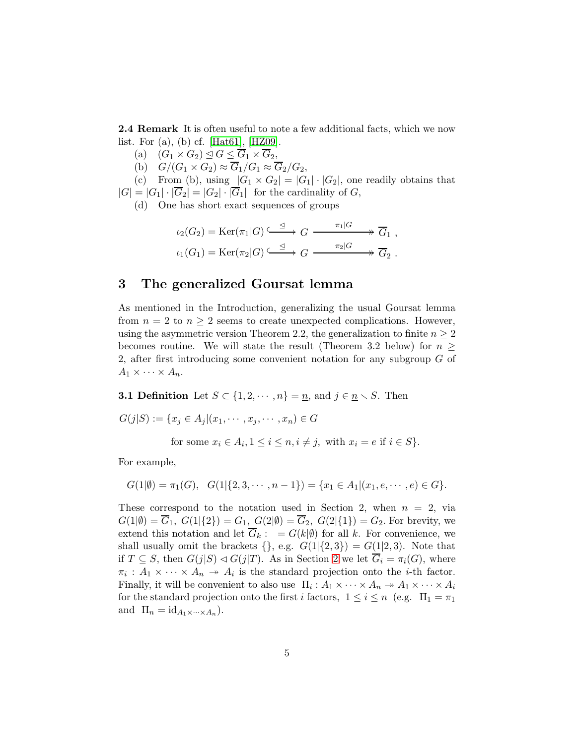2.4 Remark It is often useful to note a few additional facts, which we now list. For (a), (b) cf. [\[Hat61\]](#page-19-1), [\[HZ09\]](#page-19-2).

- (a)  $(G_1 \times G_2) \trianglelefteq G \leq \overline{G}_1 \times \overline{G}_2$ ,
- (b)  $G/(G_1 \times G_2) \approx \overline{G}_1/G_1 \approx \overline{G}_2/G_2$ ,

(c) From (b), using  $|G_1 \times G_2| = |G_1| \cdot |G_2|$ , one readily obtains that  $|G| = |G_1| \cdot |\overline{G}_2| = |G_2| \cdot |\overline{G}_1|$  for the cardinality of G,

(d) One has short exact sequences of groups

$$
\iota_2(G_2) = \text{Ker}(\pi_1|G) \xrightarrow{\leq} G \xrightarrow{\pi_1|G} \overline{G}_1 ,
$$
  

$$
\iota_1(G_1) = \text{Ker}(\pi_2|G) \xrightarrow{\leq} G \xrightarrow{\pi_2|G} \overline{G}_2 .
$$

### <span id="page-4-0"></span>3 The generalized Goursat lemma

As mentioned in the Introduction, generalizing the usual Goursat lemma from  $n = 2$  to  $n \geq 2$  seems to create unexpected complications. However, using the asymmetric version Theorem 2.2, the generalization to finite  $n \geq 2$ becomes routine. We will state the result (Theorem 3.2 below) for  $n \geq$ 2, after first introducing some convenient notation for any subgroup G of  $A_1 \times \cdots \times A_n$ .

**3.1 Definition** Let  $S \subset \{1, 2, \dots, n\} = \underline{n}$ , and  $j \in \underline{n} \setminus S$ . Then

 $G(j|S) := \{x_j \in A_j | (x_1, \dots, x_j, \dots, x_n) \in G$ 

for some  $x_i \in A_i, 1 \leq i \leq n, i \neq j$ , with  $x_i = e$  if  $i \in S$ .

For example,

$$
G(1|\emptyset) = \pi_1(G), \quad G(1|\{2, 3, \cdots, n-1\}) = \{x_1 \in A_1 | (x_1, e, \cdots, e) \in G\}.
$$

<span id="page-4-1"></span>These correspond to the notation used in Section 2, when  $n = 2$ , via  $G(1|\emptyset) = \overline{G}_1, G(1|\{2\}) = G_1, G(2|\emptyset) = \overline{G}_2, G(2|\{1\}) = G_2.$  For brevity, we extend this notation and let  $\overline{G}_k$ :  $= G(k|\emptyset)$  for all k. For convenience, we shall usually omit the brackets  $\{\}$ , e.g.  $G(1|\{2,3\}) = G(1|2,3)$ . Note that if  $T \subseteq S$ , then  $G(j|S) \triangleleft G(j|T)$ . As in Section [2](#page-2-0) we let  $\overline{G}_i = \pi_i(G)$ , where  $\pi_i: A_1 \times \cdots \times A_n \to A_i$  is the standard projection onto the *i*-th factor. Finally, it will be convenient to also use  $\Pi_i: A_1 \times \cdots \times A_n \twoheadrightarrow A_1 \times \cdots \times A_i$ for the standard projection onto the first i factors,  $1 \leq i \leq n$  (e.g.  $\Pi_1 = \pi_1$ ) and  $\Pi_n = id_{A_1 \times \cdots \times A_n}$ .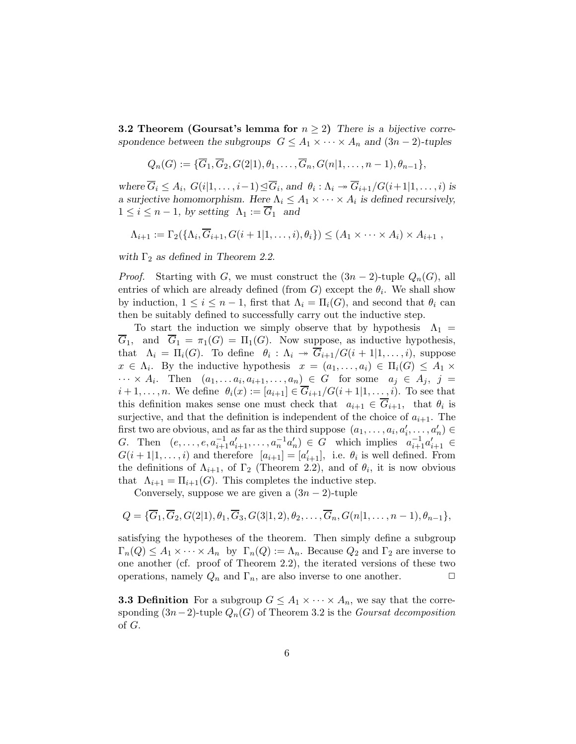**3.2 Theorem (Goursat's lemma for**  $n \geq 2$ ) There is a bijective correspondence between the subgroups  $G \leq A_1 \times \cdots \times A_n$  and  $(3n-2)$ -tuples

$$
Q_n(G) := {\overline{G}_1, \overline{G}_2, G(2|1), \theta_1, \ldots, \overline{G}_n, G(n|1, \ldots, n-1), \theta_{n-1}},
$$

where  $\overline{G}_i \leq A_i$ ,  $G(i|1,\ldots,i-1) \subseteq \overline{G}_i$ , and  $\theta_i : \Lambda_i \to \overline{G}_{i+1}/G(i+1|1,\ldots,i)$  is a surjective homomorphism. Here  $\Lambda_i \leq A_1 \times \cdots \times A_i$  is defined recursively,  $1 \leq i \leq n-1$ , by setting  $\Lambda_1 := \overline{G}_1$  and

$$
\Lambda_{i+1} := \Gamma_2(\{\Lambda_i, \overline{G}_{i+1}, G(i+1|1,\ldots,i), \theta_i\}) \leq (A_1 \times \cdots \times A_i) \times A_{i+1} ,
$$

with  $\Gamma_2$  as defined in Theorem 2.2.

*Proof.* Starting with G, we must construct the  $(3n-2)$ -tuple  $Q_n(G)$ , all entries of which are already defined (from  $G$ ) except the  $\theta_i$ . We shall show by induction,  $1 \leq i \leq n-1$ , first that  $\Lambda_i = \Pi_i(G)$ , and second that  $\theta_i$  can then be suitably defined to successfully carry out the inductive step.

To start the induction we simply observe that by hypothesis  $\Lambda_1$  =  $\overline{G}_1$ , and  $\overline{G}_1 = \pi_1(G) = \Pi_1(G)$ . Now suppose, as inductive hypothesis, that  $\Lambda_i = \Pi_i(G)$ . To define  $\theta_i : \Lambda_i \to \overline{G}_{i+1}/G(i+1|1,\ldots,i)$ , suppose  $x \in \Lambda_i$ . By the inductive hypothesis  $x = (a_1, \ldots, a_i) \in \Pi_i(G) \leq A_1 \times$  $\cdots \times A_i$ . Then  $(a_1, \ldots a_i, a_{i+1}, \ldots, a_n) \in G$  for some  $a_j \in A_j$ ,  $j =$  $i+1,\ldots,n$ . We define  $\theta_i(x) := [a_{i+1}] \in \overline{G}_{i+1}/G(i+1|1,\ldots,i)$ . To see that this definition makes sense one must check that  $a_{i+1} \in G_{i+1}$ , that  $\theta_i$  is surjective, and that the definition is independent of the choice of  $a_{i+1}$ . The first two are obvious, and as far as the third suppose  $(a_1, \ldots, a_i, a'_i, \ldots, a'_n) \in$ G. Then  $(e, \ldots, e, a_{i+1}^{-1}a'_{i+1}, \ldots, a_n^{-1}a'_n) \in G$  which implies  $a_{i+1}^{-1}a'_{i+1} \in$  $G(i+1|1,\ldots,i)$  and therefore  $[a_{i+1}] = [a'_{i+1}]$ , i.e.  $\theta_i$  is well defined. From the definitions of  $\Lambda_{i+1}$ , of  $\Gamma_2$  (Theorem 2.2), and of  $\theta_i$ , it is now obvious that  $\Lambda_{i+1} = \Pi_{i+1}(G)$ . This completes the inductive step.

Conversely, suppose we are given a  $(3n - 2)$ -tuple

$$
Q = {\overline{G}_1, \overline{G}_2, G(2|1), \theta_1, \overline{G}_3, G(3|1,2), \theta_2, \ldots, \overline{G}_n, G(n|1, \ldots, n-1), \theta_{n-1}},
$$

satisfying the hypotheses of the theorem. Then simply define a subgroup  $\Gamma_n(Q) \leq A_1 \times \cdots \times A_n$  by  $\Gamma_n(Q) := \Lambda_n$ . Because  $Q_2$  and  $\Gamma_2$  are inverse to one another (cf. proof of Theorem 2.2), the iterated versions of these two operations, namely  $Q_n$  and  $\Gamma_n$ , are also inverse to one another.  $\Box$ 

**3.3 Definition** For a subgroup  $G \leq A_1 \times \cdots \times A_n$ , we say that the corresponding  $(3n-2)$ -tuple  $Q_n(G)$  of Theorem 3.2 is the *Goursat decomposition* of G.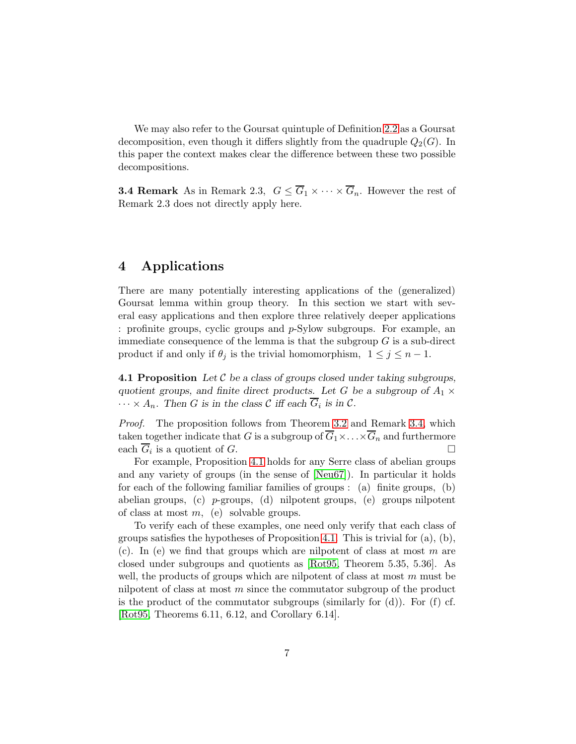We may also refer to the Goursat quintuple of Definition [2.2](#page-2-3) as a Goursat decomposition, even though it differs slightly from the quadruple  $Q_2(G)$ . In this paper the context makes clear the difference between these two possible decompositions.

<span id="page-6-1"></span>**3.4 Remark** As in Remark 2.3,  $G \leq \overline{G}_1 \times \cdots \times \overline{G}_n$ . However the rest of Remark 2.3 does not directly apply here.

## <span id="page-6-0"></span>4 Applications

There are many potentially interesting applications of the (generalized) Goursat lemma within group theory. In this section we start with several easy applications and then explore three relatively deeper applications : profinite groups, cyclic groups and p-Sylow subgroups. For example, an immediate consequence of the lemma is that the subgroup  $G$  is a sub-direct product if and only if  $\theta_j$  is the trivial homomorphism,  $1 \leq j \leq n-1$ .

<span id="page-6-2"></span>**4.1 Proposition** Let C be a class of groups closed under taking subgroups, quotient groups, and finite direct products. Let G be a subgroup of  $A_1 \times$  $\cdots \times A_n$ . Then G is in the class C iff each  $G_i$  is in C.

Proof. The proposition follows from Theorem [3.2](#page-4-1) and Remark [3.4,](#page-6-1) which taken together indicate that G is a subgroup of  $\overline{G}_1 \times \ldots \times \overline{G}_n$  and furthermore each  $\overline{G}_i$  is a quotient of  $G$ .

For example, Proposition [4.1](#page-6-2) holds for any Serre class of abelian groups and any variety of groups (in the sense of [\[Neu67\]](#page-20-9)). In particular it holds for each of the following familiar families of groups : (a) finite groups, (b) abelian groups, (c)  $p$ -groups, (d) nilpotent groups, (e) groups nilpotent of class at most  $m$ , (e) solvable groups.

To verify each of these examples, one need only verify that each class of groups satisfies the hypotheses of Proposition [4.1.](#page-6-2) This is trivial for  $(a)$ ,  $(b)$ , (c). In (e) we find that groups which are nilpotent of class at most  $m$  are closed under subgroups and quotients as [\[Rot95,](#page-20-10) Theorem 5.35, 5.36]. As well, the products of groups which are nilpotent of class at most  $m$  must be nilpotent of class at most  $m$  since the commutator subgroup of the product is the product of the commutator subgroups (similarly for  $(d)$ ). For  $(f)$  cf. [\[Rot95,](#page-20-10) Theorems 6.11, 6.12, and Corollary 6.14].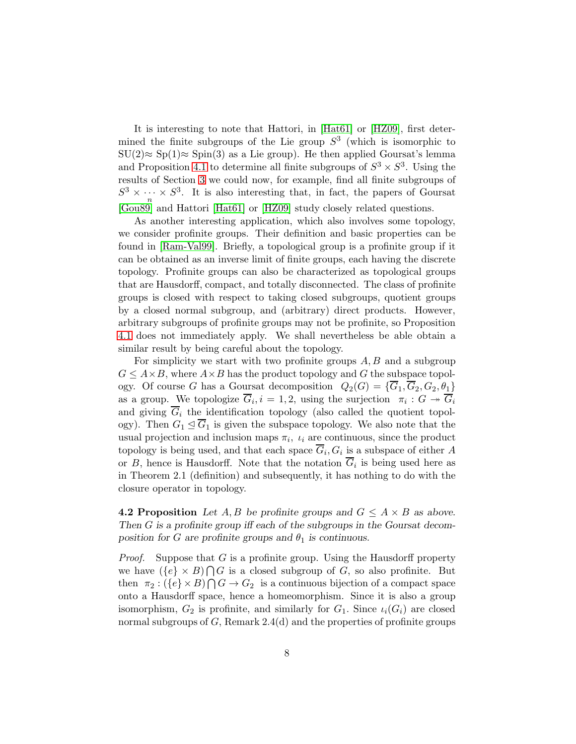It is interesting to note that Hattori, in [\[Hat61\]](#page-19-1) or [\[HZ09\]](#page-19-2), first determined the finite subgroups of the Lie group  $S^3$  (which is isomorphic to  $SU(2) \approx Sp(1) \approx Spin(3)$  as a Lie group). He then applied Goursat's lemma and Proposition [4.1](#page-6-2) to determine all finite subgroups of  $S^3 \times S^3$ . Using the results of Section [3](#page-4-0) we could now, for example, find all finite subgroups of  $S^3 \times \cdots \times S^3$ . It is also interesting that, in fact, the papers of Goursat n [\[Gou89\]](#page-19-0) and Hattori [\[Hat61\]](#page-19-1) or [\[HZ09\]](#page-19-2) study closely related questions.

As another interesting application, which also involves some topology, we consider profinite groups. Their definition and basic properties can be found in [\[Ram-Val99\]](#page-20-11). Briefly, a topological group is a profinite group if it can be obtained as an inverse limit of finite groups, each having the discrete topology. Profinite groups can also be characterized as topological groups that are Hausdorff, compact, and totally disconnected. The class of profinite groups is closed with respect to taking closed subgroups, quotient groups by a closed normal subgroup, and (arbitrary) direct products. However, arbitrary subgroups of profinite groups may not be profinite, so Proposition [4.1](#page-6-2) does not immediately apply. We shall nevertheless be able obtain a similar result by being careful about the topology.

For simplicity we start with two profinite groups  $A, B$  and a subgroup  $G \leq A \times B$ , where  $A \times B$  has the product topology and G the subspace topology. Of course G has a Goursat decomposition  $Q_2(G) = {\overline{G_1}, \overline{G_2}, G_2, \theta_1}$ as a group. We topologize  $\overline{G}_i, i = 1, 2$ , using the surjection  $\pi_i : G \twoheadrightarrow \overline{G}_i$ and giving  $\overline{G}_i$  the identification topology (also called the quotient topology). Then  $G_1 \leq G_1$  is given the subspace topology. We also note that the usual projection and inclusion maps  $\pi_i$ ,  $\iota_i$  are continuous, since the product topology is being used, and that each space  $G_i, G_i$  is a subspace of either A or  $B$ , hence is Hausdorff. Note that the notation  $G_i$  is being used here as in Theorem 2.1 (definition) and subsequently, it has nothing to do with the closure operator in topology.

**4.2 Proposition** Let A, B be profinite groups and  $G \leq A \times B$  as above. Then G is a profinite group iff each of the subgroups in the Goursat decomposition for G are profinite groups and  $\theta_1$  is continuous.

*Proof.* Suppose that G is a profinite group. Using the Hausdorff property we have  $({e} \times B) \cap G$  is a closed subgroup of G, so also profinite. But then  $\pi_2: (\{e\} \times B) \cap G \to G_2$  is a continuous bijection of a compact space onto a Hausdorff space, hence a homeomorphism. Since it is also a group isomorphism,  $G_2$  is profinite, and similarly for  $G_1$ . Since  $\iota_i(G_i)$  are closed normal subgroups of  $G$ , Remark 2.4(d) and the properties of profinite groups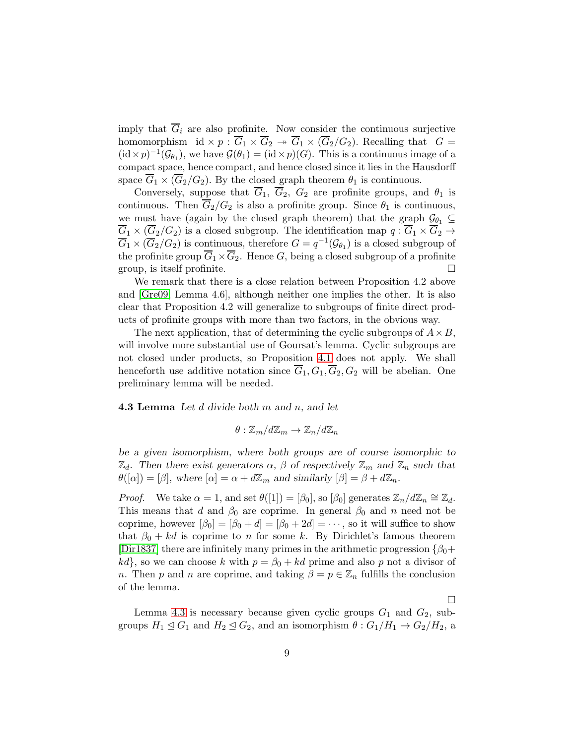imply that  $\overline{G}_i$  are also profinite. Now consider the continuous surjective homomorphism id  $\times p : \overline{G}_1 \times \overline{G}_2 \twoheadrightarrow \overline{G}_1 \times (\overline{G}_2/G_2)$ . Recalling that  $G =$  $(id \times p)^{-1}(\mathcal{G}_{\theta_1})$ , we have  $\mathcal{G}(\theta_1) = (id \times p)(G)$ . This is a continuous image of a compact space, hence compact, and hence closed since it lies in the Hausdorff space  $\overline{G}_1 \times (\overline{G}_2/G_2)$ . By the closed graph theorem  $\theta_1$  is continuous.

Conversely, suppose that  $\overline{G}_1$ ,  $\overline{G}_2$ ,  $G_2$  are profinite groups, and  $\theta_1$  is continuous. Then  $\overline{G}_2/G_2$  is also a profinite group. Since  $\theta_1$  is continuous, we must have (again by the closed graph theorem) that the graph  $\mathcal{G}_{\theta_1} \subseteq$  $\overline{G}_1 \times (\overline{G}_2/G_2)$  is a closed subgroup. The identification map  $q: \overline{G}_1 \times \overline{G}_2 \to$  $\overline{G}_1 \times (\overline{G}_2/G_2)$  is continuous, therefore  $G = q^{-1}(\mathcal{G}_{\theta_1})$  is a closed subgroup of the profinite group  $\overline{G}_1 \times \overline{G}_2$ . Hence G, being a closed subgroup of a profinite group, is itself profinite.  $\Box$ 

We remark that there is a close relation between Proposition 4.2 above and [\[Gre09,](#page-19-4) Lemma 4.6], although neither one implies the other. It is also clear that Proposition 4.2 will generalize to subgroups of finite direct products of profinite groups with more than two factors, in the obvious way.

The next application, that of determining the cyclic subgroups of  $A \times B$ , will involve more substantial use of Goursat's lemma. Cyclic subgroups are not closed under products, so Proposition [4.1](#page-6-2) does not apply. We shall henceforth use additive notation since  $\overline{G}_1, G_1, \overline{G}_2, G_2$  will be abelian. One preliminary lemma will be needed.

<span id="page-8-0"></span>**4.3 Lemma** Let  $d$  divide both  $m$  and  $n$ , and let

$$
\theta: \mathbb{Z}_m/d\mathbb{Z}_m \to \mathbb{Z}_n/d\mathbb{Z}_n
$$

be a given isomorphism, where both groups are of course isomorphic to  $\mathbb{Z}_d$ . Then there exist generators  $\alpha$ ,  $\beta$  of respectively  $\mathbb{Z}_m$  and  $\mathbb{Z}_n$  such that  $\theta([\alpha]) = [\beta],$  where  $[\alpha] = \alpha + d\mathbb{Z}_m$  and similarly  $[\beta] = \beta + d\mathbb{Z}_n$ .

*Proof.* We take  $\alpha = 1$ , and set  $\theta([1]) = [\beta_0]$ , so  $[\beta_0]$  generates  $\mathbb{Z}_n/d\mathbb{Z}_n \cong \mathbb{Z}_d$ . This means that d and  $\beta_0$  are coprime. In general  $\beta_0$  and n need not be coprime, however  $[\beta_0] = [\beta_0 + d] = [\beta_0 + 2d] = \cdots$ , so it will suffice to show that  $\beta_0 + kd$  is coprime to n for some k. By Dirichlet's famous theorem [\[Dir1837\]](#page-19-8) there are infinitely many primes in the arithmetic progression  $\{\beta_0 +$  $kd$ , so we can choose k with  $p = \beta_0 + kd$  prime and also p not a divisor of n. Then p and n are coprime, and taking  $\beta = p \in \mathbb{Z}_n$  fulfills the conclusion of the lemma.

 $\Box$ 

Lemma [4.3](#page-8-0) is necessary because given cyclic groups  $G_1$  and  $G_2$ , subgroups  $H_1 \trianglelefteq G_1$  and  $H_2 \trianglelefteq G_2$ , and an isomorphism  $\theta$  :  $G_1/H_1 \rightarrow G_2/H_2$ , a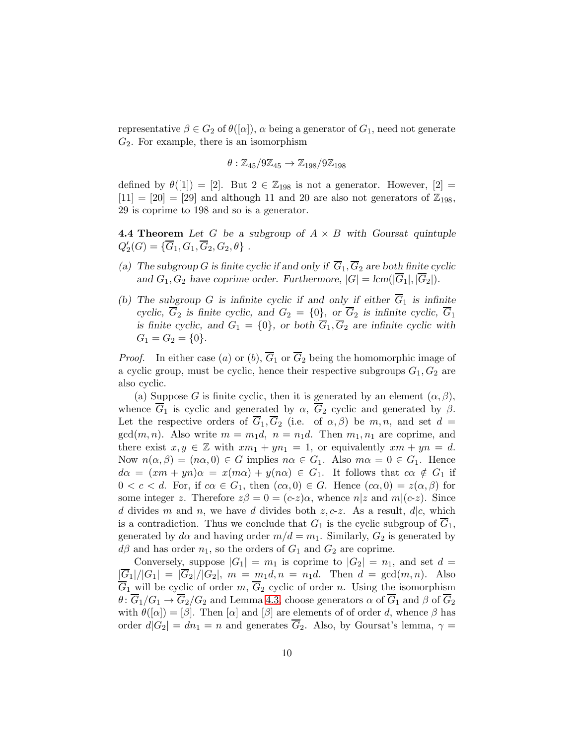representative  $\beta \in G_2$  of  $\theta([\alpha])$ ,  $\alpha$  being a generator of  $G_1$ , need not generate  $G_2$ . For example, there is an isomorphism

$$
\theta: \mathbb{Z}_{45}/9\mathbb{Z}_{45} \rightarrow \mathbb{Z}_{198}/9\mathbb{Z}_{198}
$$

defined by  $\theta([1]) = [2]$ . But  $2 \in \mathbb{Z}_{198}$  is not a generator. However,  $[2] =$  $[11] = [20] = [29]$  and although 11 and 20 are also not generators of  $\mathbb{Z}_{198}$ , 29 is coprime to 198 and so is a generator.

<span id="page-9-0"></span>**4.4 Theorem** Let G be a subgroup of  $A \times B$  with Goursat quintuple  $Q'_2(G) = {\overline{G}_1, G_1, \overline{G}_2, G_2, \theta}$ .

- (a) The subgroup G is finite cyclic if and only if  $\overline{G}_1$ ,  $\overline{G}_2$  are both finite cyclic and  $G_1, G_2$  have coprime order. Furthermore,  $|G| = \text{lcm}(|\overline{G}_1|, |\overline{G}_2|)$ .
- (b) The subgroup G is infinite cyclic if and only if either  $\overline{G}_1$  is infinite cyclic,  $\overline{G}_2$  is finite cyclic, and  $G_2 = \{0\}$ , or  $\overline{G}_2$  is infinite cyclic,  $\overline{G}_1$ is finite cyclic, and  $G_1 = \{0\}$ , or both  $\overline{G}_1$ ,  $\overline{G}_2$  are infinite cyclic with  $G_1 = G_2 = \{0\}.$

*Proof.* In either case (a) or (b),  $\overline{G}_1$  or  $\overline{G}_2$  being the homomorphic image of a cyclic group, must be cyclic, hence their respective subgroups  $G_1, G_2$  are also cyclic.

(a) Suppose G is finite cyclic, then it is generated by an element  $(\alpha, \beta)$ , whence  $\overline{G}_1$  is cyclic and generated by  $\alpha$ ,  $\overline{G}_2$  cyclic and generated by  $\beta$ . Let the respective orders of  $\overline{G}_1$ ,  $\overline{G}_2$  (i.e. of  $\alpha$ ,  $\beta$ ) be  $m, n$ , and set  $d =$  $gcd(m, n)$ . Also write  $m = m_1d$ ,  $n = n_1d$ . Then  $m_1, n_1$  are coprime, and there exist  $x, y \in \mathbb{Z}$  with  $xm_1 + yn_1 = 1$ , or equivalently  $xm + yn = d$ . Now  $n(\alpha, \beta) = (n\alpha, 0) \in G$  implies  $n\alpha \in G_1$ . Also  $m\alpha = 0 \in G_1$ . Hence  $d\alpha = (xm + yn)\alpha = x(m\alpha) + y(n\alpha) \in G_1$ . It follows that  $c\alpha \notin G_1$  if  $0 < c < d$ . For, if  $c\alpha \in G_1$ , then  $(c\alpha, 0) \in G$ . Hence  $(c\alpha, 0) = z(\alpha, \beta)$  for some integer z. Therefore  $z\beta = 0 = (c-z)\alpha$ , whence  $n|z$  and  $m|(c-z)$ . Since d divides m and n, we have d divides both  $z, c-z$ . As a result,  $d|c$ , which is a contradiction. Thus we conclude that  $G_1$  is the cyclic subgroup of  $G_1$ , generated by  $d\alpha$  and having order  $m/d = m_1$ . Similarly,  $G_2$  is generated by  $d\beta$  and has order  $n_1$ , so the orders of  $G_1$  and  $G_2$  are coprime.

Conversely, suppose  $|G_1| = m_1$  is coprime to  $|G_2| = n_1$ , and set  $d =$  $|\overline{G}_1|/|G_1| = |\overline{G}_2|/|G_2|$ ,  $m = m_1d, n = n_1d$ . Then  $d = \gcd(m, n)$ . Also  $\overline{G}_1$  will be cyclic of order m,  $\overline{G}_2$  cyclic of order n. Using the isomorphism  $\theta: \overline{G}_1/G_1 \to \overline{G}_2/G_2$  and Lemma [4.3,](#page-8-0) choose generators  $\alpha$  of  $\overline{G}_1$  and  $\beta$  of  $\overline{G}_2$ with  $\theta([\alpha]) = [\beta]$ . Then  $[\alpha]$  and  $[\beta]$  are elements of of order d, whence  $\beta$  has order  $d|G_2| = dn_1 = n$  and generates  $\overline{G}_2$ . Also, by Goursat's lemma,  $\gamma =$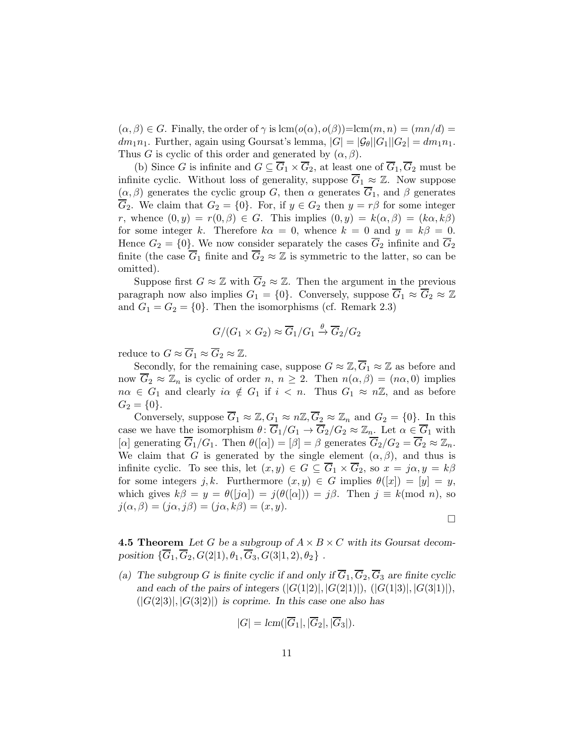$(\alpha, \beta) \in G$ . Finally, the order of  $\gamma$  is  $\text{lcm}(o(\alpha), o(\beta)) = \text{lcm}(m, n) = (mn/d) =$  $dm_1n_1$ . Further, again using Goursat's lemma,  $|G| = |\mathcal{G}_{\theta}||G_1||G_2| = dm_1n_1$ . Thus G is cyclic of this order and generated by  $(\alpha, \beta)$ .

(b) Since G is infinite and  $G \subseteq \overline{G}_1 \times \overline{G}_2$ , at least one of  $\overline{G}_1, \overline{G}_2$  must be infinite cyclic. Without loss of generality, suppose  $\overline{G}_1 \approx \mathbb{Z}$ . Now suppose  $(\alpha, \beta)$  generates the cyclic group G, then  $\alpha$  generates  $\overline{G}_1$ , and  $\beta$  generates  $\overline{G}_2$ . We claim that  $G_2 = \{0\}$ . For, if  $y \in G_2$  then  $y = r\beta$  for some integer r, whence  $(0, y) = r(0, \beta) \in G$ . This implies  $(0, y) = k(\alpha, \beta) = (k\alpha, k\beta)$ for some integer k. Therefore  $k\alpha = 0$ , whence  $k = 0$  and  $y = k\beta = 0$ . Hence  $G_2 = \{0\}$ . We now consider separately the cases  $\overline{G}_2$  infinite and  $\overline{G}_2$ finite (the case  $\overline{G}_1$  finite and  $\overline{G}_2 \approx \mathbb{Z}$  is symmetric to the latter, so can be omitted).

Suppose first  $G \approx \mathbb{Z}$  with  $\overline{G}_2 \approx \mathbb{Z}$ . Then the argument in the previous paragraph now also implies  $G_1 = \{0\}$ . Conversely, suppose  $\overline{G}_1 \approx \overline{G}_2 \approx \mathbb{Z}$ and  $G_1 = G_2 = \{0\}$ . Then the isomorphisms (cf. Remark 2.3)

$$
G/(G_1 \times G_2) \approx \overline{G}_1/G_1 \stackrel{\theta}{\to} \overline{G}_2/G_2
$$

reduce to  $G \approx \overline{G}_1 \approx \overline{G}_2 \approx \mathbb{Z}$ .

Secondly, for the remaining case, suppose  $G \approx \mathbb{Z}, \overline{G}_1 \approx \mathbb{Z}$  as before and now  $\overline{G}_2 \approx \mathbb{Z}_n$  is cyclic of order  $n, n \geq 2$ . Then  $n(\alpha, \beta) = (n\alpha, 0)$  implies  $n\alpha \in G_1$  and clearly  $i\alpha \notin G_1$  if  $i < n$ . Thus  $G_1 \approx n\mathbb{Z}$ , and as before  $G_2 = \{0\}.$ 

Conversely, suppose  $\overline{G}_1 \approx \mathbb{Z}, G_1 \approx n\mathbb{Z}, \overline{G}_2 \approx \mathbb{Z}_n$  and  $G_2 = \{0\}$ . In this case we have the isomorphism  $\theta \colon \overline{G}_1/G_1 \to \overline{G}_2/G_2 \approx \mathbb{Z}_n$ . Let  $\alpha \in \overline{G}_1$  with [ $\alpha$ ] generating  $\overline{G}_1/G_1$ . Then  $\theta([\alpha]) = [\beta] = \beta$  generates  $\overline{G}_2/G_2 = \overline{G}_2 \approx \mathbb{Z}_n$ . We claim that G is generated by the single element  $(\alpha, \beta)$ , and thus is infinite cyclic. To see this, let  $(x, y) \in G \subseteq \overline{G}_1 \times \overline{G}_2$ , so  $x = j\alpha, y = k\beta$ for some integers j, k. Furthermore  $(x, y) \in G$  implies  $\theta([x]) = [y] = y$ , which gives  $k\beta = y = \theta(j\alpha) = j(\theta([\alpha])) = j\beta$ . Then  $j \equiv k \pmod{n}$ , so  $j(\alpha, \beta) = (j\alpha, j\beta) = (j\alpha, k\beta) = (x, y).$ 

 $\Box$ 

**4.5 Theorem** Let G be a subgroup of  $A \times B \times C$  with its Goursat decomposition  $\{\overline{G}_1, \overline{G}_2, G(2|1), \theta_1, \overline{G}_3, G(3|1,2), \theta_2\}$ .

(a) The subgroup G is finite cyclic if and only if  $\overline{G}_1$ ,  $\overline{G}_2$ ,  $\overline{G}_3$  are finite cyclic and each of the pairs of integers  $(|G(1|2)|, |G(2|1)|), (|G(1|3)|, |G(3|1)|),$  $(|G(2|3)|, |G(3|2)|)$  is coprime. In this case one also has

$$
|G| = lcm(|G_1|, |G_2|, |G_3|).
$$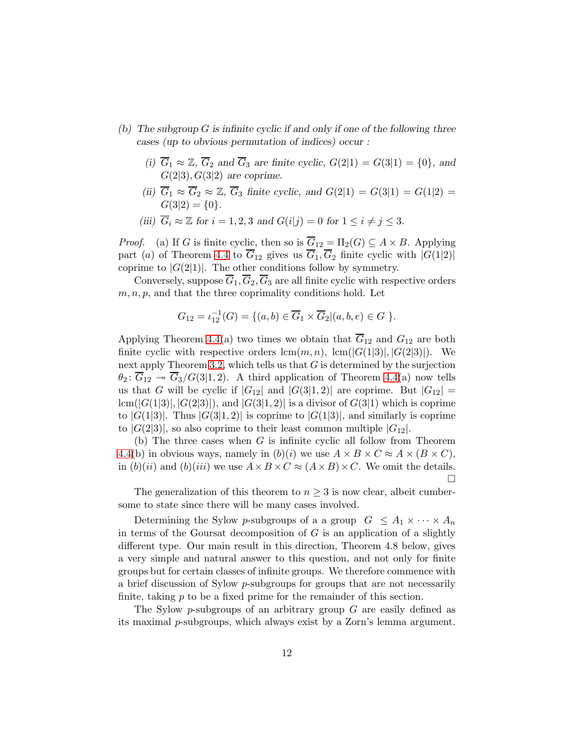- (b) The subgroup  $G$  is infinite cyclic if and only if one of the following three cases (up to obvious permutation of indices) occur :
	- (i)  $\overline{G}_1 \approx \mathbb{Z}, \overline{G}_2$  and  $\overline{G}_3$  are finite cyclic,  $G(2|1) = G(3|1) = \{0\}$ , and  $G(2|3), G(3|2)$  are coprime.
	- (ii)  $G_1 \approx G_2 \approx \mathbb{Z}$ ,  $G_3$  finite cyclic, and  $G(2|1) = G(3|1) = G(1|2) =$  $G(3|2) = \{0\}.$
	- (iii)  $\overline{G}_i \approx \mathbb{Z}$  for  $i = 1, 2, 3$  and  $G(i|j) = 0$  for  $1 \leq i \neq j \leq 3$ .

*Proof.* (a) If G is finite cyclic, then so is  $\overline{G}_{12} = \Pi_2(G) \subseteq A \times B$ . Applying part (a) of Theorem [4.4](#page-9-0) to  $\overline{G}_{12}$  gives us  $\overline{G}_1$ ,  $\overline{G}_2$  finite cyclic with  $|G(1|2)|$ coprime to  $|G(2|1)|$ . The other conditions follow by symmetry.

Conversely, suppose  $\overline{G}_1$ ,  $\overline{G}_2$ ,  $\overline{G}_3$  are all finite cyclic with respective orders  $m, n, p$ , and that the three coprimality conditions hold. Let

$$
G_{12} = \iota_{12}^{-1}(G) = \{ (a, b) \in \overline{G}_1 \times \overline{G}_2 | (a, b, e) \in G \}.
$$

Applying Theorem [4.4\(](#page-9-0)a) two times we obtain that  $\overline{G}_{12}$  and  $G_{12}$  are both finite cyclic with respective orders  $\text{lcm}(m, n)$ ,  $\text{lcm}(|G(1|3)|, |G(2|3)|)$ . We next apply Theorem [3.2,](#page-4-1) which tells us that  $G$  is determined by the surjection  $\theta_2$ :  $\overline{G}_{12} \rightarrow \overline{G}_3/G(3|1,2)$ . A third application of Theorem [4.4\(](#page-9-0)a) now tells us that G will be cyclic if  $|G_{12}|$  and  $|G(3|1, 2)|$  are coprime. But  $|G_{12}| =$  $lcm(|G(1|3)|, |G(2|3)|)$ , and  $|G(3|1, 2)|$  is a divisor of  $G(3|1)$  which is coprime to  $|G(1|3)|$ . Thus  $|G(3|1, 2)|$  is coprime to  $|G(1|3)|$ , and similarly is coprime to  $|G(2|3)|$ , so also coprime to their least common multiple  $|G_{12}|$ .

(b) The three cases when  $G$  is infinite cyclic all follow from Theorem [4.4\(](#page-9-0)b) in obvious ways, namely in  $(b)(i)$  we use  $A \times B \times C \approx A \times (B \times C)$ , in  $(b)(ii)$  and  $(b)(iii)$  we use  $A \times B \times C \approx (A \times B) \times C$ . We omit the details.  $\Box$ 

The generalization of this theorem to  $n \geq 3$  is now clear, albeit cumbersome to state since there will be many cases involved.

Determining the Sylow p-subgroups of a a group  $G \leq A_1 \times \cdots \times A_n$ in terms of the Goursat decomposition of  $G$  is an application of a slightly different type. Our main result in this direction, Theorem 4.8 below, gives a very simple and natural answer to this question, and not only for finite groups but for certain classes of infinite groups. We therefore commence with a brief discussion of Sylow p-subgroups for groups that are not necessarily finite, taking p to be a fixed prime for the remainder of this section.

The Sylow p-subgroups of an arbitrary group  $G$  are easily defined as its maximal p-subgroups, which always exist by a Zorn's lemma argument.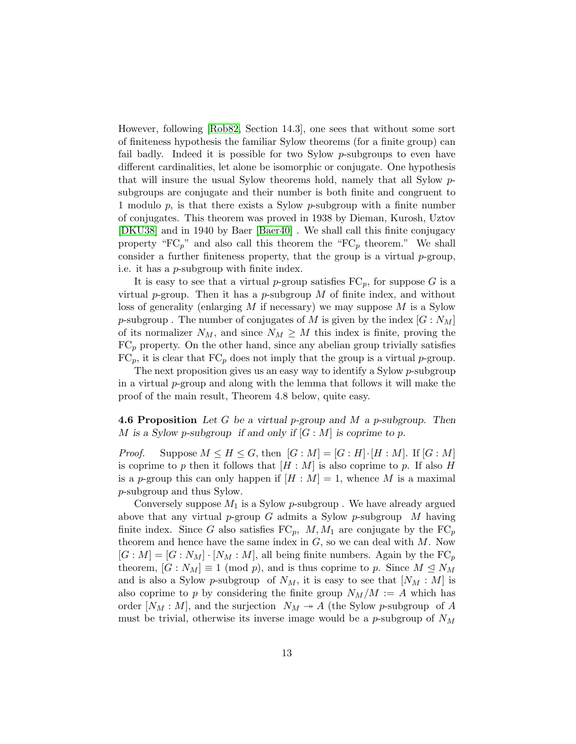However, following [\[Rob82,](#page-20-12) Section 14.3], one sees that without some sort of finiteness hypothesis the familiar Sylow theorems (for a finite group) can fail badly. Indeed it is possible for two Sylow p-subgroups to even have different cardinalities, let alone be isomorphic or conjugate. One hypothesis that will insure the usual Sylow theorems hold, namely that all Sylow psubgroups are conjugate and their number is both finite and congruent to 1 modulo  $p$ , is that there exists a Sylow  $p$ -subgroup with a finite number of conjugates. This theorem was proved in 1938 by Dieman, Kurosh, Uztov [\[DKU38\]](#page-19-9) and in 1940 by Baer [\[Baer40\]](#page-19-10) . We shall call this finite conjugacy property " $FC_p$ " and also call this theorem the " $FC_p$  theorem." We shall consider a further finiteness property, that the group is a virtual  $p$ -group, i.e. it has a p-subgroup with finite index.

It is easy to see that a virtual p-group satisfies  $FC_p$ , for suppose G is a virtual p-group. Then it has a p-subgroup  $M$  of finite index, and without loss of generality (enlarging  $M$  if necessary) we may suppose  $M$  is a Sylow p-subgroup. The number of conjugates of M is given by the index  $[G: N_M]$ of its normalizer  $N_M$ , and since  $N_M \geq M$  this index is finite, proving the  $FC_p$  property. On the other hand, since any abelian group trivially satisfies  $FC_p$ , it is clear that  $FC_p$  does not imply that the group is a virtual p-group.

The next proposition gives us an easy way to identify a Sylow p-subgroup in a virtual  $p$ -group and along with the lemma that follows it will make the proof of the main result, Theorem 4.8 below, quite easy.

**4.6 Proposition** Let G be a virtual p-group and M a p-subgroup. Then M is a Sylow p-subgroup if and only if  $[G : M]$  is coprime to p.

*Proof.* Suppose  $M \leq H \leq G$ , then  $[G : M] = [G : H] \cdot [H : M]$ . If  $[G : M]$ is coprime to p then it follows that  $[H : M]$  is also coprime to p. If also H is a p-group this can only happen if  $[H : M] = 1$ , whence M is a maximal p-subgroup and thus Sylow.

Conversely suppose  $M_1$  is a Sylow p-subgroup. We have already argued above that any virtual p-group  $G$  admits a Sylow p-subgroup  $M$  having finite index. Since G also satisfies  $FC_p$ ,  $M, M_1$  are conjugate by the  $FC_p$ theorem and hence have the same index in  $G$ , so we can deal with  $M$ . Now  $[G : M] = [G : N_M] \cdot [N_M : M]$ , all being finite numbers. Again by the  $FC_p$ theorem,  $[G: N_M] \equiv 1 \pmod{p}$ , and is thus coprime to p. Since  $M \leq N_M$ and is also a Sylow p-subgroup of  $N_M$ , it is easy to see that  $[N_M : M]$  is also coprime to p by considering the finite group  $N_M/M := A$  which has order  $[N_M : M]$ , and the surjection  $N_M \rightarrow A$  (the Sylow p-subgroup of A must be trivial, otherwise its inverse image would be a *p*-subgroup of  $N_M$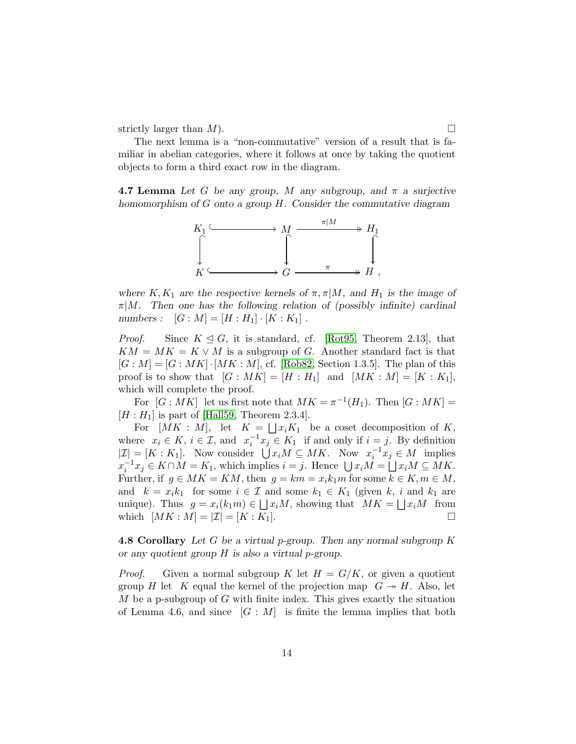strictly larger than  $M$ ).

The next lemma is a "non-commutative" version of a result that is familiar in abelian categories, where it follows at once by taking the quotient objects to form a third exact row in the diagram.

**4.7 Lemma** Let G be any group, M any subgroup, and  $\pi$  a surjective homomorphism of G onto a group H. Consider the commutative diagram



where K,  $K_1$  are the respective kernels of  $\pi, \pi | M$ , and  $H_1$  is the image of  $\pi|M$ . Then one has the following relation of (possibly infinite) cardinal numbers :  $[G : M] = [H : H_1] \cdot [K : K_1]$ .

*Proof.* Since  $K \trianglelefteq G$ , it is standard, cf. [\[Rot95,](#page-20-10) Theorem 2.13], that  $KM = MK = K \vee M$  is a subgroup of G. Another standard fact is that  $[G : M] = [G : MK] \cdot [MK : M]$ , cf. [\[Rob82,](#page-20-12) Section 1.3.5]. The plan of this proof is to show that  $[G : MK] = [H : H_1]$  and  $[MK : M] = [K : K_1]$ , which will complete the proof.

For  $[G: MK]$  let us first note that  $MK = \pi^{-1}(H_1)$ . Then  $[G: MK] =$  $[H:H_1]$  is part of [\[Hall59,](#page-19-11) Theorem 2.3.4].

For  $[MK : M]$ , let  $K = \bigsqcup x_i K_1$  be a coset decomposition of K, where  $x_i \in K$ ,  $i \in \mathcal{I}$ , and  $x_i^{-1}x_j \in K_1$  if and only if  $i = j$ . By definition  $|\mathcal{I}| = [K : K_1].$  Now consider  $\bigcup x_i M \subseteq MK$ . Now  $x_i^{-1} x_j \in M$  implies  $x_i^{-1}x_j \in K \cap M = K_1$ , which implies  $i = j$ . Hence  $\bigcup x_i M = \bigcup x_i M \subseteq M K$ . Further, if  $g \in MK = KM$ , then  $g = km = x_i k_1 m$  for some  $k \in K, m \in M$ , and  $k = x_i k_1$  for some  $i \in \mathcal{I}$  and some  $k_1 \in K_1$  (given k, i and  $k_1$  are unique). Thus  $g = x_i(k_1m) \in \bigsqcup x_iM$ , showing that  $MK = \bigsqcup x_iM$  from which  $[MK : M] = |\mathcal{I}| = [K : K_1].$ 

**4.8 Corollary** Let G be a virtual p-group. Then any normal subgroup  $K$ or any quotient group  $H$  is also a virtual p-group.

*Proof.* Given a normal subgroup K let  $H = G/K$ , or given a quotient group H let K equal the kernel of the projection map  $G \rightarrow H$ . Also, let  $M$  be a p-subgroup of  $G$  with finite index. This gives exactly the situation of Lemma 4.6, and since  $[G : M]$  is finite the lemma implies that both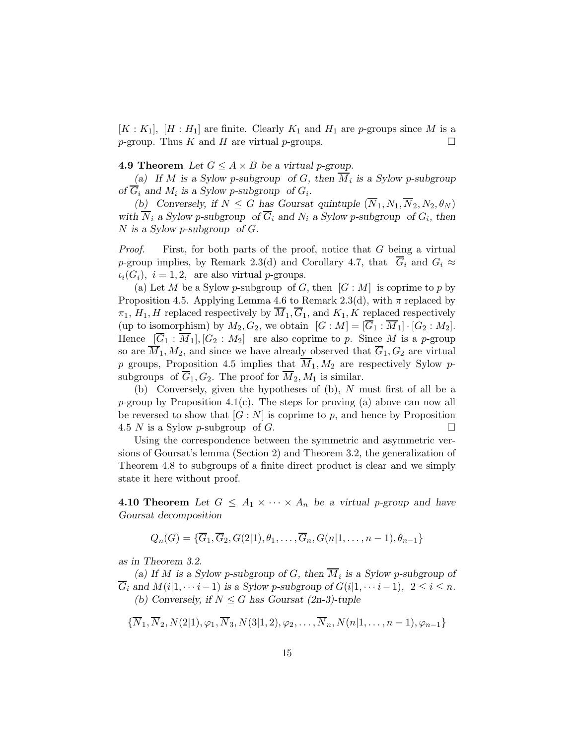$[K: K_1], [H: H_1]$  are finite. Clearly  $K_1$  and  $H_1$  are p-groups since M is a *p*-group. Thus K and H are virtual *p*-groups.  $\square$ 

#### **4.9 Theorem** Let  $G \leq A \times B$  be a virtual p-group.

(a) If M is a Sylow p-subgroup of G, then  $M_i$  is a Sylow p-subgroup of  $G_i$  and  $M_i$  is a Sylow p-subgroup of  $G_i$ .

(b) Conversely, if  $N \leq G$  has Goursat quintuple  $(\overline{N}_1, N_1, \overline{N}_2, N_2, \theta_N)$ with  $N_i$  a Sylow p-subgroup of  $G_i$  and  $N_i$  a Sylow p-subgroup of  $G_i$ , then  $N$  is a Sylow p-subgroup of  $G$ .

Proof. First, for both parts of the proof, notice that G being a virtual p-group implies, by Remark 2.3(d) and Corollary 4.7, that  $\overline{G}_i$  and  $G_i \approx$  $\iota_i(G_i)$ ,  $i = 1, 2$ , are also virtual p-groups.

(a) Let M be a Sylow p-subgroup of G, then  $[G : M]$  is coprime to p by Proposition 4.5. Applying Lemma 4.6 to Remark 2.3(d), with  $\pi$  replaced by  $\pi_1, H_1, H$  replaced respectively by  $\overline{M}_1, \overline{G}_1$ , and  $K_1, K$  replaced respectively (up to isomorphism) by  $M_2, G_2$ , we obtain  $[G : M] = \overline{G}_1 : \overline{M}_1] \cdot [G_2 : M_2]$ . Hence  $[\overline{G}_1 : \overline{M}_1], [G_2 : M_2]$  are also coprime to p. Since M is a p-group so are  $\overline{M}_1, M_2$ , and since we have already observed that  $\overline{G}_1, G_2$  are virtual p groups, Proposition 4.5 implies that  $\overline{M}_1, M_2$  are respectively Sylow psubgroups of  $\overline{G}_1, G_2$ . The proof for  $\overline{M}_2, M_1$  is similar.

(b) Conversely, given the hypotheses of (b), N must first of all be a  $p$ -group by Proposition 4.1(c). The steps for proving (a) above can now all be reversed to show that  $[G : N]$  is coprime to p, and hence by Proposition 4.5 N is a Sylow p-subgroup of G.  $\Box$ 

Using the correspondence between the symmetric and asymmetric versions of Goursat's lemma (Section 2) and Theorem 3.2, the generalization of Theorem 4.8 to subgroups of a finite direct product is clear and we simply state it here without proof.

**4.10 Theorem** Let  $G \leq A_1 \times \cdots \times A_n$  be a virtual p-group and have Goursat decomposition

$$
Q_n(G) = \{\overline{G}_1, \overline{G}_2, G(2|1), \theta_1, \ldots, \overline{G}_n, G(n|1, \ldots, n-1), \theta_{n-1}\}\
$$

as in Theorem 3.2.

(a) If M is a Sylow p-subgroup of G, then  $M_i$  is a Sylow p-subgroup of  $\overline{G}_i$  and  $M(i|1,\cdots i-1)$  is a Sylow p-subgroup of  $G(i|1,\cdots i-1)$ ,  $2 \leq i \leq n$ . (b) Conversely, if  $N \leq G$  has Goursat (2n-3)-tuple

$$
\{\overline{N}_1, \overline{N}_2, N(2|1), \varphi_1, \overline{N}_3, N(3|1,2), \varphi_2, \dots, \overline{N}_n, N(n|1, \dots, n-1), \varphi_{n-1}\}\
$$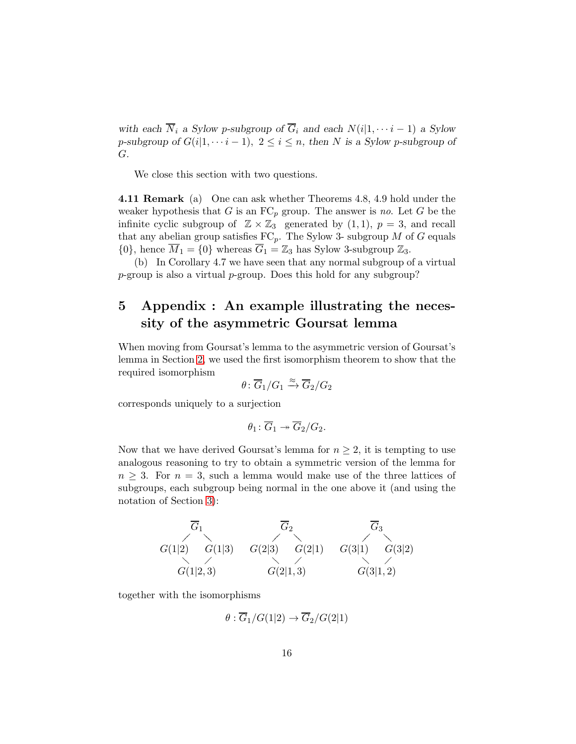with each  $\overline{N}_i$  a Sylow p-subgroup of  $\overline{G}_i$  and each  $N(i|1,\cdots i-1)$  a Sylow p-subgroup of  $G(i|1, \cdots i-1)$ ,  $2 \leq i \leq n$ , then N is a Sylow p-subgroup of G.

We close this section with two questions.

4.11 Remark (a) One can ask whether Theorems 4.8, 4.9 hold under the weaker hypothesis that G is an  $FC_p$  group. The answer is no. Let G be the infinite cyclic subgroup of  $\mathbb{Z} \times \mathbb{Z}_3$  generated by  $(1, 1)$ ,  $p = 3$ , and recall that any abelian group satisfies  $FC_p$ . The Sylow 3- subgroup M of G equals  $\{0\}$ , hence  $\overline{M}_1 = \{0\}$  whereas  $\overline{G}_1 = \mathbb{Z}_3$  has Sylow 3-subgroup  $\mathbb{Z}_3$ .

(b) In Corollary 4.7 we have seen that any normal subgroup of a virtual p-group is also a virtual p-group. Does this hold for any subgroup?

# 5 Appendix : An example illustrating the necessity of the asymmetric Goursat lemma

When moving from Goursat's lemma to the asymmetric version of Goursat's lemma in Section [2,](#page-2-0) we used the first isomorphism theorem to show that the required isomorphism

$$
\theta \colon \overline{G}_1/G_1 \xrightarrow{\approx} \overline{G}_2/G_2
$$

corresponds uniquely to a surjection

$$
\theta_1\colon \overline{G}_1\twoheadrightarrow \overline{G}_2/G_2.
$$

Now that we have derived Goursat's lemma for  $n \geq 2$ , it is tempting to use analogous reasoning to try to obtain a symmetric version of the lemma for  $n \geq 3$ . For  $n = 3$ , such a lemma would make use of the three lattices of subgroups, each subgroup being normal in the one above it (and using the notation of Section [3\)](#page-4-0):



together with the isomorphisms

$$
\theta: \overline{G}_1/G(1|2) \to \overline{G}_2/G(2|1)
$$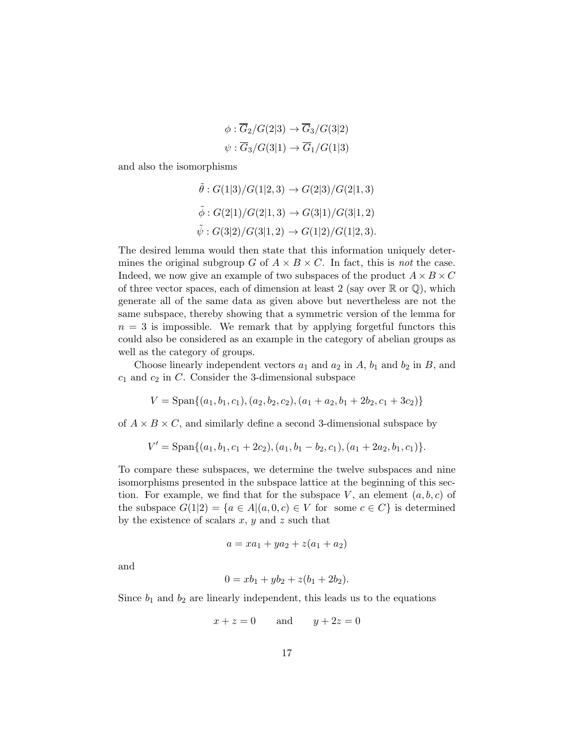$$
\phi: \overline{G}_2/G(2|3) \to \overline{G}_3/G(3|2)
$$
  

$$
\psi: \overline{G}_3/G(3|1) \to \overline{G}_1/G(1|3)
$$

and also the isomorphisms

$$
\tilde{\theta}: G(1|3)/G(1|2,3) \to G(2|3)/G(2|1,3)
$$
  

$$
\tilde{\phi}: G(2|1)/G(2|1,3) \to G(3|1)/G(3|1,2)
$$
  

$$
\tilde{\psi}: G(3|2)/G(3|1,2) \to G(1|2)/G(1|2,3).
$$

The desired lemma would then state that this information uniquely determines the original subgroup G of  $A \times B \times C$ . In fact, this is not the case. Indeed, we now give an example of two subspaces of the product  $A \times B \times C$ of three vector spaces, each of dimension at least 2 (say over  $\mathbb R$  or  $\mathbb Q$ ), which generate all of the same data as given above but nevertheless are not the same subspace, thereby showing that a symmetric version of the lemma for  $n = 3$  is impossible. We remark that by applying forgetful functors this could also be considered as an example in the category of abelian groups as well as the category of groups.

Choose linearly independent vectors  $a_1$  and  $a_2$  in  $A$ ,  $b_1$  and  $b_2$  in  $B$ , and  $c_1$  and  $c_2$  in C. Consider the 3-dimensional subspace

$$
V = \text{Span}\{(a_1, b_1, c_1), (a_2, b_2, c_2), (a_1 + a_2, b_1 + 2b_2, c_1 + 3c_2)\}
$$

of  $A \times B \times C$ , and similarly define a second 3-dimensional subspace by

$$
V' = \text{Span}\{(a_1, b_1, c_1 + 2c_2), (a_1, b_1 - b_2, c_1), (a_1 + 2a_2, b_1, c_1)\}.
$$

To compare these subspaces, we determine the twelve subspaces and nine isomorphisms presented in the subspace lattice at the beginning of this section. For example, we find that for the subspace  $V$ , an element  $(a, b, c)$  of the subspace  $G(1|2) = \{a \in A | (a, 0, c) \in V \text{ for some } c \in C\}$  is determined by the existence of scalars  $x, y$  and  $z$  such that

$$
a = xa_1 + ya_2 + z(a_1 + a_2)
$$

and

$$
0 = xb_1 + yb_2 + z(b_1 + 2b_2).
$$

Since  $b_1$  and  $b_2$  are linearly independent, this leads us to the equations

$$
x + z = 0 \qquad \text{and} \qquad y + 2z = 0
$$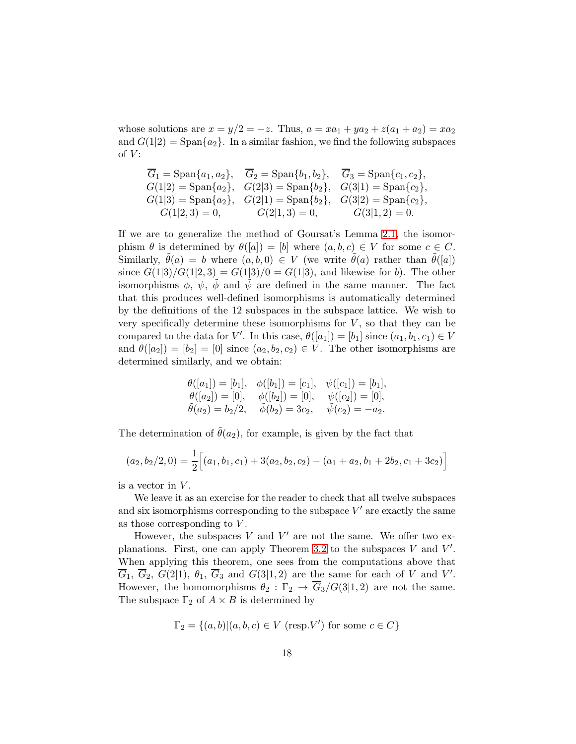whose solutions are  $x = y/2 = -z$ . Thus,  $a = xa_1 + ya_2 + z(a_1 + a_2) = xa_2$ and  $G(1|2) = \text{Span}\{a_2\}$ . In a similar fashion, we find the following subspaces of  $V$ :

$$
\overline{G}_1 = \text{Span}\{a_1, a_2\}, \quad \overline{G}_2 = \text{Span}\{b_1, b_2\}, \quad \overline{G}_3 = \text{Span}\{c_1, c_2\},G(1|2) = \text{Span}\{a_2\}, \quad G(2|3) = \text{Span}\{b_2\}, \quad G(3|1) = \text{Span}\{c_2\},G(1|3) = \text{Span}\{a_2\}, \quad G(2|1) = \text{Span}\{b_2\}, \quad G(3|2) = \text{Span}\{c_2\},G(1|2, 3) = 0, \qquad G(2|1, 3) = 0, \qquad G(3|1, 2) = 0.
$$

If we are to generalize the method of Goursat's Lemma [2.1,](#page-2-1) the isomorphism  $\theta$  is determined by  $\theta([a]) = [b]$  where  $(a, b, c) \in V$  for some  $c \in C$ . Similarly,  $\tilde{\theta}(a) = b$  where  $(a, b, 0) \in V$  (we write  $\tilde{\theta}(a)$  rather than  $\tilde{\theta}([a])$ since  $G(1|3)/G(1|2,3) = G(1|3)/0 = G(1|3)$ , and likewise for b). The other isomorphisms  $\phi$ ,  $\psi$ ,  $\tilde{\phi}$  and  $\tilde{\psi}$  are defined in the same manner. The fact that this produces well-defined isomorphisms is automatically determined by the definitions of the 12 subspaces in the subspace lattice. We wish to very specifically determine these isomorphisms for  $V$ , so that they can be compared to the data for V'. In this case,  $\theta([a_1]) = [b_1]$  since  $(a_1, b_1, c_1) \in V$ and  $\theta([a_2]) = [b_2] = [0]$  since  $(a_2, b_2, c_2) \in V$ . The other isomorphisms are determined similarly, and we obtain:

$$
\begin{aligned}\n\theta([a_1]) &= [b_1], \quad \phi([b_1]) = [c_1], \quad \psi([c_1]) = [b_1], \\
\theta([a_2]) &= [0], \quad \phi([b_2]) = [0], \quad \psi([c_2]) = [0], \\
\tilde{\theta}(a_2) &= b_2/2, \quad \tilde{\phi}(b_2) = 3c_2, \quad \tilde{\psi}(c_2) = -a_2.\n\end{aligned}
$$

The determination of  $\hat{\theta}(a_2)$ , for example, is given by the fact that

$$
(a_2, b_2/2, 0) = \frac{1}{2} [(a_1, b_1, c_1) + 3(a_2, b_2, c_2) - (a_1 + a_2, b_1 + 2b_2, c_1 + 3c_2)]
$$

is a vector in  $V$ .

We leave it as an exercise for the reader to check that all twelve subspaces and six isomorphisms corresponding to the subspace  $V'$  are exactly the same as those corresponding to  $V$ .

However, the subspaces  $V$  and  $V'$  are not the same. We offer two ex-planations. First, one can apply Theorem [3.2](#page-4-1) to the subspaces  $V$  and  $V'$ . When applying this theorem, one sees from the computations above that  $\overline{G}_1, \overline{G}_2, G(2|1), \theta_1, \overline{G}_3$  and  $G(3|1,2)$  are the same for each of V and V'. However, the homomorphisms  $\theta_2 : \Gamma_2 \to \overline{G}_3/G(3|1,2)$  are not the same. The subspace  $\Gamma_2$  of  $A \times B$  is determined by

$$
\Gamma_2 = \{(a, b) | (a, b, c) \in V \text{ (resp. } V'\text{) for some } c \in C\}
$$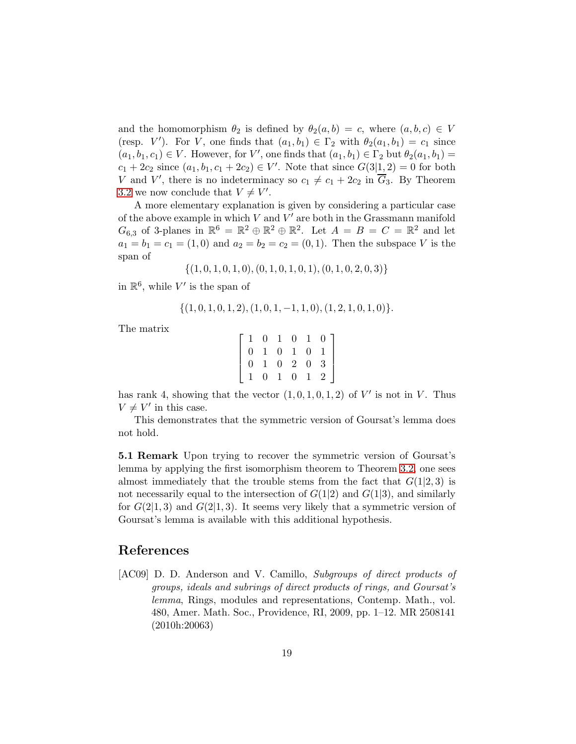and the homomorphism  $\theta_2$  is defined by  $\theta_2(a, b) = c$ , where  $(a, b, c) \in V$ (resp. V'). For V, one finds that  $(a_1, b_1) \in \Gamma_2$  with  $\theta_2(a_1, b_1) = c_1$  since  $(a_1, b_1, c_1) \in V$ . However, for V', one finds that  $(a_1, b_1) \in \Gamma_2$  but  $\theta_2(a_1, b_1) =$  $c_1 + 2c_2$  since  $(a_1, b_1, c_1 + 2c_2) \in V'$ . Note that since  $G(3|1, 2) = 0$  for both V and V', there is no indeterminacy so  $c_1 \neq c_1 + 2c_2$  in  $\overline{G}_3$ . By Theorem [3.2](#page-4-1) we now conclude that  $V \neq V'$ .

A more elementary explanation is given by considering a particular case of the above example in which  $V$  and  $V'$  are both in the Grassmann manifold  $G_{6,3}$  of 3-planes in  $\mathbb{R}^6 = \mathbb{R}^2 \oplus \mathbb{R}^2 \oplus \mathbb{R}^2$ . Let  $A = B = C = \mathbb{R}^2$  and let  $a_1 = b_1 = c_1 = (1, 0)$  and  $a_2 = b_2 = c_2 = (0, 1)$ . Then the subspace V is the span of

 $\{(1, 0, 1, 0, 1, 0), (0, 1, 0, 1, 0, 1), (0, 1, 0, 2, 0, 3)\}\$ 

in  $\mathbb{R}^6$ , while V' is the span of

$$
\{(1,0,1,0,1,2), (1,0,1,-1,1,0), (1,2,1,0,1,0)\}.
$$

The matrix

|                                       |                |              |  | $\begin{bmatrix} 1 & 0 & 1 & 0 & 1 & 0 \end{bmatrix}$ |
|---------------------------------------|----------------|--------------|--|-------------------------------------------------------|
| $\begin{pmatrix} 1 & 0 \end{pmatrix}$ |                |              |  | $1 \t0 \t1 \t0 \t1$                                   |
| $\overline{0}$                        |                |              |  | $1 \quad 0 \quad 2 \quad 0 \quad 3$                   |
| $\overline{1}$                        | $\overline{0}$ | $\mathbf{1}$ |  | $0 \quad 1 \quad 2$                                   |

has rank 4, showing that the vector  $(1,0,1,0,1,2)$  of  $V'$  is not in V. Thus  $V \neq V'$  in this case.

This demonstrates that the symmetric version of Goursat's lemma does not hold.

5.1 Remark Upon trying to recover the symmetric version of Goursat's lemma by applying the first isomorphism theorem to Theorem [3.2,](#page-4-1) one sees almost immediately that the trouble stems from the fact that  $G(1|2,3)$  is not necessarily equal to the intersection of  $G(1|2)$  and  $G(1|3)$ , and similarly for  $G(2|1,3)$  and  $G(2|1,3)$ . It seems very likely that a symmetric version of Goursat's lemma is available with this additional hypothesis.

#### References

<span id="page-18-0"></span>[AC09] D. D. Anderson and V. Camillo, Subgroups of direct products of groups, ideals and subrings of direct products of rings, and Goursat's lemma, Rings, modules and representations, Contemp. Math., vol. 480, Amer. Math. Soc., Providence, RI, 2009, pp. 1–12. MR 2508141 (2010h:20063)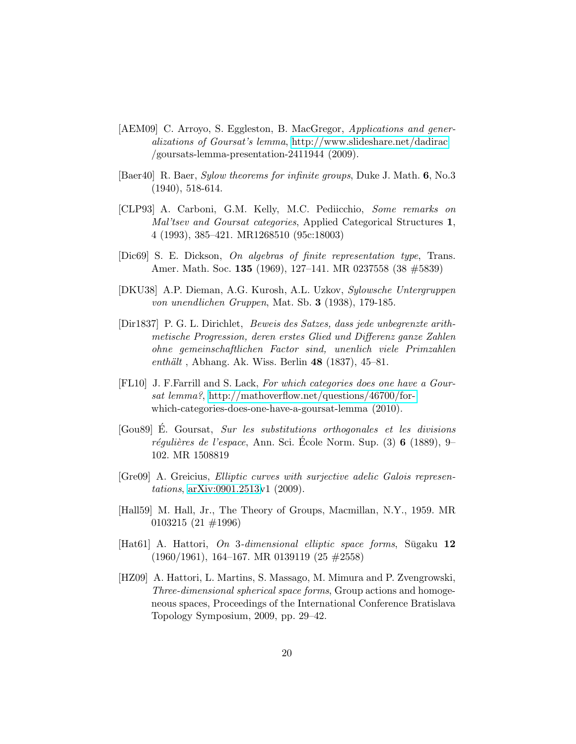- <span id="page-19-6"></span>[AEM09] C. Arroyo, S. Eggleston, B. MacGregor, Applications and generalizations of Goursat's lemma,<http://www.slideshare.net/dadirac> /goursats-lemma-presentation-2411944 (2009).
- <span id="page-19-10"></span>[Baer40] R. Baer, Sylow theorems for infinite groups, Duke J. Math. 6, No.3 (1940), 518-614.
- <span id="page-19-7"></span>[CLP93] A. Carboni, G.M. Kelly, M.C. Pediicchio, Some remarks on Mal'tsev and Goursat categories, Applied Categorical Structures 1, 4 (1993), 385–421. MR1268510 (95c:18003)
- <span id="page-19-3"></span>[Dic69] S. E. Dickson, On algebras of finite representation type, Trans. Amer. Math. Soc. 135 (1969), 127–141. MR 0237558 (38 #5839)
- <span id="page-19-9"></span>[DKU38] A.P. Dieman, A.G. Kurosh, A.L. Uzkov, Sylowsche Untergruppen von unendlichen Gruppen, Mat. Sb. 3 (1938), 179-185.
- <span id="page-19-8"></span>[Dir1837] P. G. L. Dirichlet, Beweis des Satzes, dass jede unbegrenzte arithmetische Progression, deren erstes Glied und Differenz ganze Zahlen ohne gemeinschaftlichen Factor sind, unenlich viele Primzahlen enthält, Abhang. Ak. Wiss. Berlin  $48$  (1837), 45–81.
- <span id="page-19-5"></span>[FL10] J. F.Farrill and S. Lack, For which categories does one have a Goursat lemma?, [http://mathoverflow.net/questions/46700/for](http://mathoverflow.net/questions/46700/for-)which-categories-does-one-have-a-goursat-lemma (2010).
- <span id="page-19-0"></span>[Gou89] E. Goursat, Sur les substitutions orthogonales et les divisions régulières de l'espace, Ann. Sci. Ecole Norm. Sup.  $(3)$  6  $(1889)$ , 9– 102. MR 1508819
- <span id="page-19-4"></span>[Gre09] A. Greicius, *Elliptic curves with surjective adelic Galois represen*tations, [arXiv:0901.2513v](http://arxiv.org/abs/0901.2513)1 (2009).
- <span id="page-19-11"></span>[Hall59] M. Hall, Jr., The Theory of Groups, Macmillan, N.Y., 1959. MR 0103215 (21 #1996)
- <span id="page-19-1"></span> $[Hat61]$  A. Hattori, On 3-dimensional elliptic space forms, Sugaku 12 (1960/1961), 164–167. MR 0139119 (25 #2558)
- <span id="page-19-2"></span>[HZ09] A. Hattori, L. Martins, S. Massago, M. Mimura and P. Zvengrowski, Three-dimensional spherical space forms, Group actions and homogeneous spaces, Proceedings of the International Conference Bratislava Topology Symposium, 2009, pp. 29–42.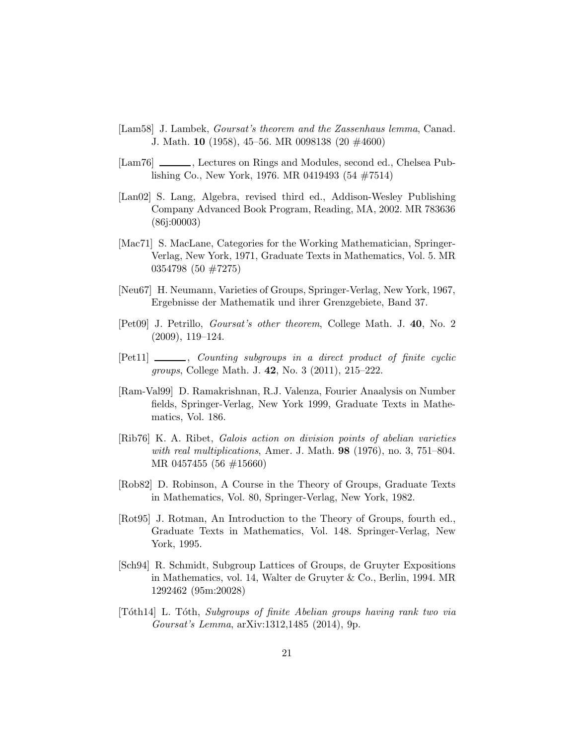- <span id="page-20-0"></span>[Lam58] J. Lambek, Goursat's theorem and the Zassenhaus lemma, Canad. J. Math. 10 (1958), 45–56. MR 0098138 (20 #4600)
- <span id="page-20-1"></span>[Lam76] \_\_\_\_\_, Lectures on Rings and Modules, second ed., Chelsea Publishing Co., New York, 1976. MR 0419493 (54 #7514)
- <span id="page-20-2"></span>[Lan02] S. Lang, Algebra, revised third ed., Addison-Wesley Publishing Company Advanced Book Program, Reading, MA, 2002. MR 783636 (86j:00003)
- <span id="page-20-8"></span>[Mac71] S. MacLane, Categories for the Working Mathematician, Springer-Verlag, New York, 1971, Graduate Texts in Mathematics, Vol. 5. MR 0354798 (50 #7275)
- <span id="page-20-9"></span>[Neu67] H. Neumann, Varieties of Groups, Springer-Verlag, New York, 1967, Ergebnisse der Mathematik und ihrer Grenzgebiete, Band 37.
- <span id="page-20-3"></span>[Pet09] J. Petrillo, Goursat's other theorem, College Math. J. 40, No. 2 (2009), 119–124.
- <span id="page-20-4"></span>[Pet11] \_\_\_\_\_, Counting subgroups in a direct product of finite cyclic groups, College Math. J. 42, No. 3 (2011), 215–222.
- <span id="page-20-11"></span>[Ram-Val99] D. Ramakrishnan, R.J. Valenza, Fourier Anaalysis on Number fields, Springer-Verlag, New York 1999, Graduate Texts in Mathematics, Vol. 186.
- <span id="page-20-5"></span>[Rib76] K. A. Ribet, Galois action on division points of abelian varieties with real multiplications, Amer. J. Math.  $98$  (1976), no. 3, 751–804. MR 0457455 (56 #15660)
- <span id="page-20-12"></span>[Rob82] D. Robinson, A Course in the Theory of Groups, Graduate Texts in Mathematics, Vol. 80, Springer-Verlag, New York, 1982.
- <span id="page-20-10"></span>[Rot95] J. Rotman, An Introduction to the Theory of Groups, fourth ed., Graduate Texts in Mathematics, Vol. 148. Springer-Verlag, New York, 1995.
- <span id="page-20-6"></span>[Sch94] R. Schmidt, Subgroup Lattices of Groups, de Gruyter Expositions in Mathematics, vol. 14, Walter de Gruyter & Co., Berlin, 1994. MR 1292462 (95m:20028)
- <span id="page-20-7"></span>[T´oth14] L. T´oth, Subgroups of finite Abelian groups having rank two via Goursat's Lemma, arXiv:1312,1485 (2014), 9p.